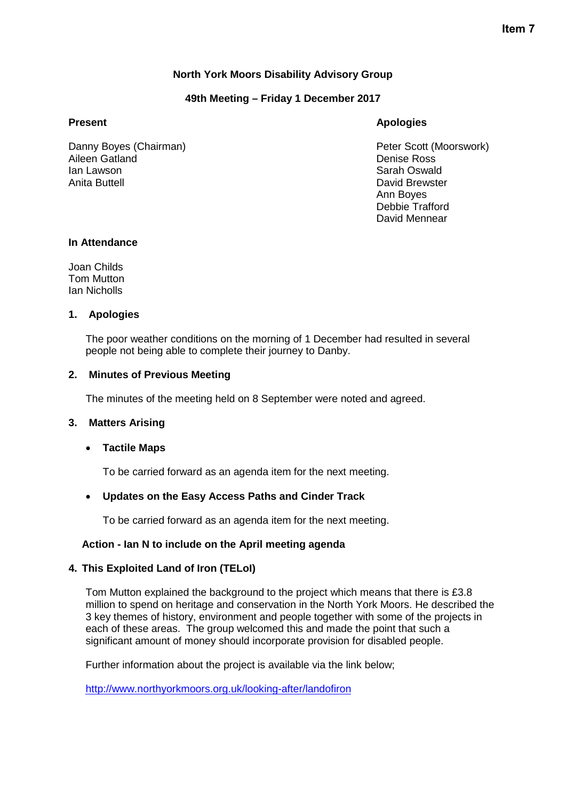# **North York Moors Disability Advisory Group**

# **49th Meeting – Friday 1 December 2017**

Danny Boyes (Chairman) **Peter Scott (Moorswork)** Peter Scott (Moorswork) Aileen Gatland **Denise Ross Denise Ross** Ian Lawson National Sarah Oswald<br>
Anita Buttell National Sarah Oswald<br>
David Brewste

# **Present Apologies**

David Brewster Ann Boyes Debbie Trafford David Mennear

## **In Attendance**

Joan Childs Tom Mutton Ian Nicholls

## **1. Apologies**

The poor weather conditions on the morning of 1 December had resulted in several people not being able to complete their journey to Danby.

# **2. Minutes of Previous Meeting**

The minutes of the meeting held on 8 September were noted and agreed.

# **3. Matters Arising**

# • **Tactile Maps**

To be carried forward as an agenda item for the next meeting.

# • **Updates on the Easy Access Paths and Cinder Track**

To be carried forward as an agenda item for the next meeting.

# **Action - Ian N to include on the April meeting agenda**

### **4. This Exploited Land of Iron (TELoI)**

Tom Mutton explained the background to the project which means that there is £3.8 million to spend on heritage and conservation in the North York Moors. He described the 3 key themes of history, environment and people together with some of the projects in each of these areas. The group welcomed this and made the point that such a significant amount of money should incorporate provision for disabled people.

Further information about the project is available via the link below;

<http://www.northyorkmoors.org.uk/looking-after/landofiron>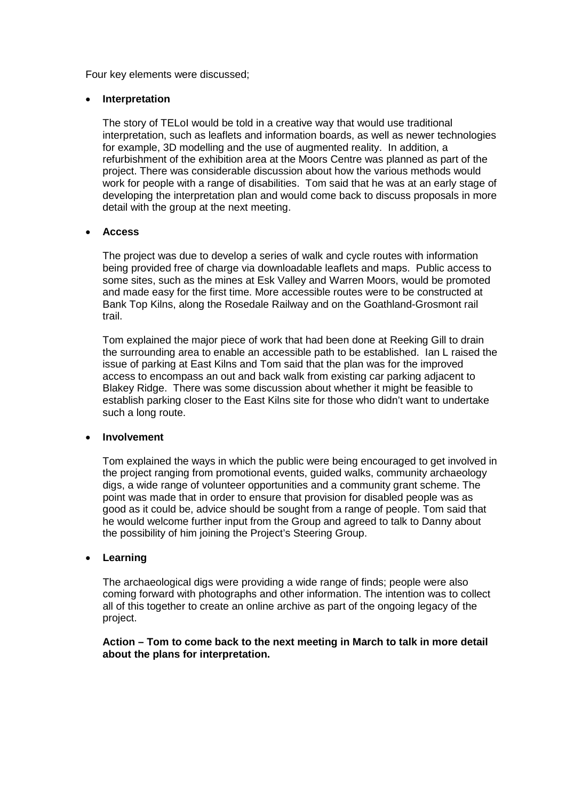Four key elements were discussed;

## • **Interpretation**

The story of TELoI would be told in a creative way that would use traditional interpretation, such as leaflets and information boards, as well as newer technologies for example, 3D modelling and the use of augmented reality. In addition, a refurbishment of the exhibition area at the Moors Centre was planned as part of the project. There was considerable discussion about how the various methods would work for people with a range of disabilities. Tom said that he was at an early stage of developing the interpretation plan and would come back to discuss proposals in more detail with the group at the next meeting.

## • **Access**

The project was due to develop a series of walk and cycle routes with information being provided free of charge via downloadable leaflets and maps. Public access to some sites, such as the mines at Esk Valley and Warren Moors, would be promoted and made easy for the first time. More accessible routes were to be constructed at Bank Top Kilns, along the Rosedale Railway and on the Goathland-Grosmont rail trail.

Tom explained the major piece of work that had been done at Reeking Gill to drain the surrounding area to enable an accessible path to be established. Ian L raised the issue of parking at East Kilns and Tom said that the plan was for the improved access to encompass an out and back walk from existing car parking adjacent to Blakey Ridge. There was some discussion about whether it might be feasible to establish parking closer to the East Kilns site for those who didn't want to undertake such a long route.

### • **Involvement**

Tom explained the ways in which the public were being encouraged to get involved in the project ranging from promotional events, guided walks, community archaeology digs, a wide range of volunteer opportunities and a community grant scheme. The point was made that in order to ensure that provision for disabled people was as good as it could be, advice should be sought from a range of people. Tom said that he would welcome further input from the Group and agreed to talk to Danny about the possibility of him joining the Project's Steering Group.

# • **Learning**

The archaeological digs were providing a wide range of finds; people were also coming forward with photographs and other information. The intention was to collect all of this together to create an online archive as part of the ongoing legacy of the project.

## **Action – Tom to come back to the next meeting in March to talk in more detail about the plans for interpretation.**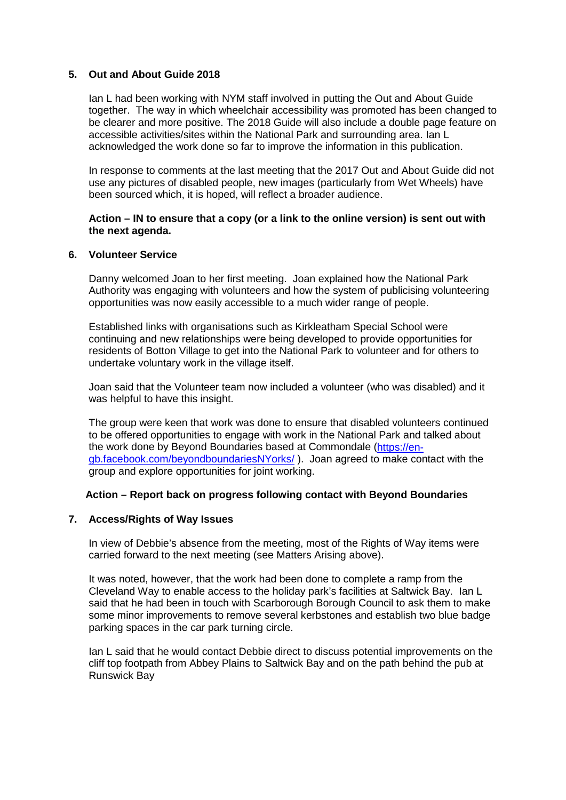## **5. Out and About Guide 2018**

Ian L had been working with NYM staff involved in putting the Out and About Guide together. The way in which wheelchair accessibility was promoted has been changed to be clearer and more positive. The 2018 Guide will also include a double page feature on accessible activities/sites within the National Park and surrounding area. Ian L acknowledged the work done so far to improve the information in this publication.

In response to comments at the last meeting that the 2017 Out and About Guide did not use any pictures of disabled people, new images (particularly from Wet Wheels) have been sourced which, it is hoped, will reflect a broader audience.

## **Action – IN to ensure that a copy (or a link to the online version) is sent out with the next agenda.**

### **6. Volunteer Service**

Danny welcomed Joan to her first meeting. Joan explained how the National Park Authority was engaging with volunteers and how the system of publicising volunteering opportunities was now easily accessible to a much wider range of people.

Established links with organisations such as Kirkleatham Special School were continuing and new relationships were being developed to provide opportunities for residents of Botton Village to get into the National Park to volunteer and for others to undertake voluntary work in the village itself.

Joan said that the Volunteer team now included a volunteer (who was disabled) and it was helpful to have this insight.

The group were keen that work was done to ensure that disabled volunteers continued to be offered opportunities to engage with work in the National Park and talked about the work done by Beyond Boundaries based at Commondale [\(https://en](https://en-gb.facebook.com/beyondboundariesNYorks/)[gb.facebook.com/beyondboundariesNYorks/](https://en-gb.facebook.com/beyondboundariesNYorks/) ). Joan agreed to make contact with the group and explore opportunities for joint working.

# **Action – Report back on progress following contact with Beyond Boundaries**

# **7. Access/Rights of Way Issues**

In view of Debbie's absence from the meeting, most of the Rights of Way items were carried forward to the next meeting (see Matters Arising above).

It was noted, however, that the work had been done to complete a ramp from the Cleveland Way to enable access to the holiday park's facilities at Saltwick Bay. Ian L said that he had been in touch with Scarborough Borough Council to ask them to make some minor improvements to remove several kerbstones and establish two blue badge parking spaces in the car park turning circle.

Ian L said that he would contact Debbie direct to discuss potential improvements on the cliff top footpath from Abbey Plains to Saltwick Bay and on the path behind the pub at Runswick Bay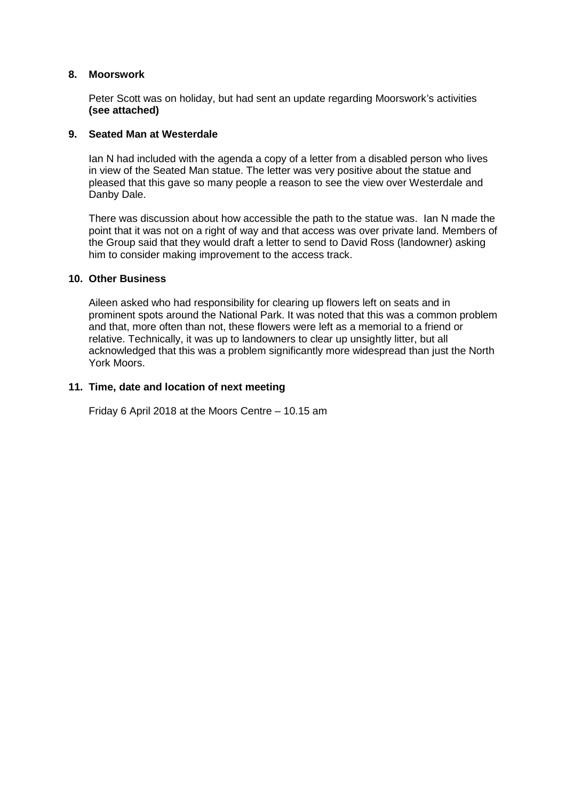# **8. Moorswork**

Peter Scott was on holiday, but had sent an update regarding Moorswork's activities **(see attached)**

## **9. Seated Man at Westerdale**

Ian N had included with the agenda a copy of a letter from a disabled person who lives in view of the Seated Man statue. The letter was very positive about the statue and pleased that this gave so many people a reason to see the view over Westerdale and Danby Dale.

There was discussion about how accessible the path to the statue was. Ian N made the point that it was not on a right of way and that access was over private land. Members of the Group said that they would draft a letter to send to David Ross (landowner) asking him to consider making improvement to the access track.

# **10. Other Business**

Aileen asked who had responsibility for clearing up flowers left on seats and in prominent spots around the National Park. It was noted that this was a common problem and that, more often than not, these flowers were left as a memorial to a friend or relative. Technically, it was up to landowners to clear up unsightly litter, but all acknowledged that this was a problem significantly more widespread than just the North York Moors.

## **11. Time, date and location of next meeting**

Friday 6 April 2018 at the Moors Centre – 10.15 am